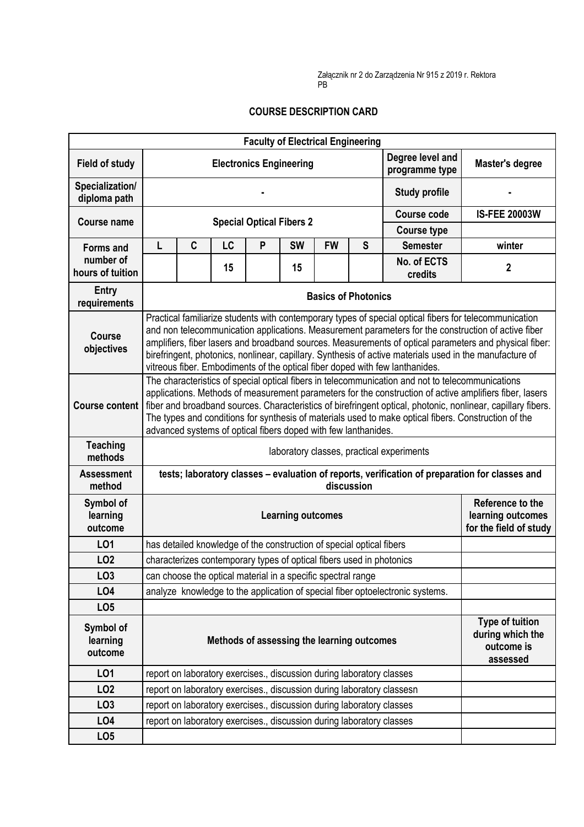Załącznik nr 2 do Zarządzenia Nr 915 z 2019 r. Rektora PB

## **COURSE DESCRIPTION CARD**

| <b>Faculty of Electrical Engineering</b> |                                                                                                                                                                                                                                                                                                                                                                                                                                                                                                                    |                                                                      |                                                                       |   |                                 |           |                                                                 |                                                                               |                                                               |  |  |
|------------------------------------------|--------------------------------------------------------------------------------------------------------------------------------------------------------------------------------------------------------------------------------------------------------------------------------------------------------------------------------------------------------------------------------------------------------------------------------------------------------------------------------------------------------------------|----------------------------------------------------------------------|-----------------------------------------------------------------------|---|---------------------------------|-----------|-----------------------------------------------------------------|-------------------------------------------------------------------------------|---------------------------------------------------------------|--|--|
| <b>Field of study</b>                    |                                                                                                                                                                                                                                                                                                                                                                                                                                                                                                                    | Degree level and<br><b>Electronics Engineering</b><br>programme type |                                                                       |   |                                 |           | <b>Master's degree</b>                                          |                                                                               |                                                               |  |  |
| Specialization/<br>diploma path          |                                                                                                                                                                                                                                                                                                                                                                                                                                                                                                                    |                                                                      |                                                                       |   |                                 |           |                                                                 | <b>Study profile</b>                                                          |                                                               |  |  |
| <b>Course name</b>                       |                                                                                                                                                                                                                                                                                                                                                                                                                                                                                                                    |                                                                      |                                                                       |   | <b>Special Optical Fibers 2</b> |           |                                                                 | <b>Course code</b>                                                            | <b>IS-FEE 20003W</b>                                          |  |  |
|                                          |                                                                                                                                                                                                                                                                                                                                                                                                                                                                                                                    |                                                                      |                                                                       |   | <b>Course type</b>              |           |                                                                 |                                                                               |                                                               |  |  |
| <b>Forms and</b>                         | L                                                                                                                                                                                                                                                                                                                                                                                                                                                                                                                  | $\mathbf c$                                                          | LC                                                                    | P | <b>SW</b>                       | <b>FW</b> | $\mathbf S$                                                     | <b>Semester</b>                                                               | winter                                                        |  |  |
| number of<br>hours of tuition            |                                                                                                                                                                                                                                                                                                                                                                                                                                                                                                                    |                                                                      | 15                                                                    |   | 15                              |           |                                                                 | No. of ECTS<br>credits                                                        | $\mathbf 2$                                                   |  |  |
| Entry<br>requirements                    | <b>Basics of Photonics</b>                                                                                                                                                                                                                                                                                                                                                                                                                                                                                         |                                                                      |                                                                       |   |                                 |           |                                                                 |                                                                               |                                                               |  |  |
| <b>Course</b><br>objectives              | Practical familiarize students with contemporary types of special optical fibers for telecommunication<br>and non telecommunication applications. Measurement parameters for the construction of active fiber<br>amplifiers, fiber lasers and broadband sources. Measurements of optical parameters and physical fiber:<br>birefringent, photonics, nonlinear, capillary. Synthesis of active materials used in the manufacture of<br>vitreous fiber. Embodiments of the optical fiber doped with few lanthanides. |                                                                      |                                                                       |   |                                 |           |                                                                 |                                                                               |                                                               |  |  |
| <b>Course content</b>                    | The characteristics of special optical fibers in telecommunication and not to telecommunications<br>applications. Methods of measurement parameters for the construction of active amplifiers fiber, lasers<br>fiber and broadband sources. Characteristics of birefringent optical, photonic, nonlinear, capillary fibers.<br>The types and conditions for synthesis of materials used to make optical fibers. Construction of the<br>advanced systems of optical fibers doped with few lanthanides.              |                                                                      |                                                                       |   |                                 |           |                                                                 |                                                                               |                                                               |  |  |
| <b>Teaching</b><br>methods               | laboratory classes, practical experiments                                                                                                                                                                                                                                                                                                                                                                                                                                                                          |                                                                      |                                                                       |   |                                 |           |                                                                 |                                                                               |                                                               |  |  |
| <b>Assessment</b><br>method              | tests; laboratory classes - evaluation of reports, verification of preparation for classes and<br>discussion                                                                                                                                                                                                                                                                                                                                                                                                       |                                                                      |                                                                       |   |                                 |           |                                                                 |                                                                               |                                                               |  |  |
| Symbol of<br>learning<br>outcome         | <b>Learning outcomes</b>                                                                                                                                                                                                                                                                                                                                                                                                                                                                                           |                                                                      |                                                                       |   |                                 |           | Reference to the<br>learning outcomes<br>for the field of study |                                                                               |                                                               |  |  |
| L01                                      |                                                                                                                                                                                                                                                                                                                                                                                                                                                                                                                    |                                                                      | has detailed knowledge of the construction of special optical fibers  |   |                                 |           |                                                                 |                                                                               |                                                               |  |  |
| <b>LO2</b>                               |                                                                                                                                                                                                                                                                                                                                                                                                                                                                                                                    |                                                                      | characterizes contemporary types of optical fibers used in photonics  |   |                                 |           |                                                                 |                                                                               |                                                               |  |  |
| LO <sub>3</sub>                          |                                                                                                                                                                                                                                                                                                                                                                                                                                                                                                                    |                                                                      | can choose the optical material in a specific spectral range          |   |                                 |           |                                                                 |                                                                               |                                                               |  |  |
| LO4                                      |                                                                                                                                                                                                                                                                                                                                                                                                                                                                                                                    |                                                                      |                                                                       |   |                                 |           |                                                                 | analyze knowledge to the application of special fiber optoelectronic systems. |                                                               |  |  |
| LO <sub>5</sub>                          |                                                                                                                                                                                                                                                                                                                                                                                                                                                                                                                    |                                                                      |                                                                       |   |                                 |           |                                                                 |                                                                               |                                                               |  |  |
| Symbol of<br>learning<br>outcome         |                                                                                                                                                                                                                                                                                                                                                                                                                                                                                                                    |                                                                      | Methods of assessing the learning outcomes                            |   |                                 |           |                                                                 |                                                                               | Type of tuition<br>during which the<br>outcome is<br>assessed |  |  |
| LO1                                      |                                                                                                                                                                                                                                                                                                                                                                                                                                                                                                                    |                                                                      | report on laboratory exercises., discussion during laboratory classes |   |                                 |           |                                                                 |                                                                               |                                                               |  |  |
| LO <sub>2</sub>                          |                                                                                                                                                                                                                                                                                                                                                                                                                                                                                                                    |                                                                      |                                                                       |   |                                 |           |                                                                 | report on laboratory exercises., discussion during laboratory classesn        |                                                               |  |  |
| LO <sub>3</sub>                          |                                                                                                                                                                                                                                                                                                                                                                                                                                                                                                                    |                                                                      | report on laboratory exercises., discussion during laboratory classes |   |                                 |           |                                                                 |                                                                               |                                                               |  |  |
| LO <sub>4</sub>                          |                                                                                                                                                                                                                                                                                                                                                                                                                                                                                                                    |                                                                      | report on laboratory exercises., discussion during laboratory classes |   |                                 |           |                                                                 |                                                                               |                                                               |  |  |
| LO <sub>5</sub>                          |                                                                                                                                                                                                                                                                                                                                                                                                                                                                                                                    |                                                                      |                                                                       |   |                                 |           |                                                                 |                                                                               |                                                               |  |  |